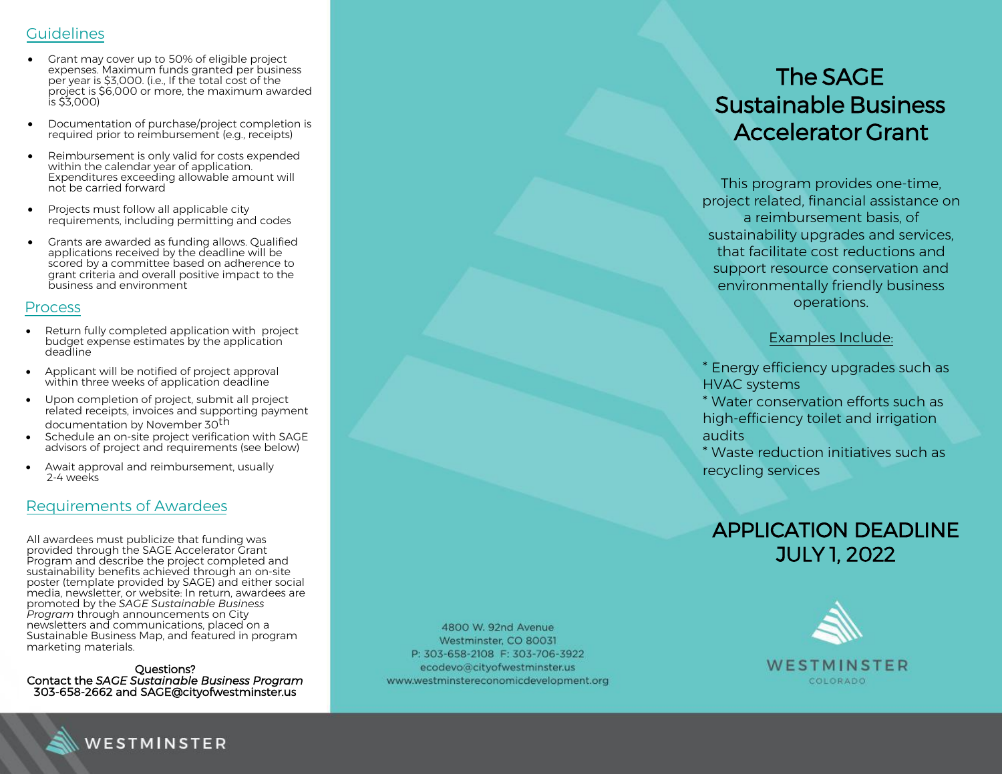## Guidelines

- Grant may cover up to 50% of eligible project expenses. Maximum funds granted per business per year is \$ 3,000. (i.e., If the total cost of the project is \$ 6,000 or more, the maximum awarded is \$ 3,000)
- Documentation of purchase/project completion is required prior to reimbursement (e.g., receipts)
- Reimbursement is only valid for costs expended within the calendar year of application. Expenditures exceeding allowable amount will not be carried forward
- Projects must follow all applicable city requirements, including permitting and codes
- Grants are awarded as funding allows. Qualified applications received by the deadline will be scored by a committee based on adherence to grant criteria and overall positive impact to the business and environment

#### Process

- Return fully completed application with project budget expense estimates by the application deadline
- Applicant will be notified of project approval within three weeks of application deadline
- Upon completion of project, submit all project related receipts, invoices and supporting payment documentation by November 30<sup>th</sup>
- Schedule an on-site project verification with SAGE advisors of project and requirements (see below)
- Await approval and reimbursement, usually 2-4 weeks

## Requirements of Awardees

All awardees must publicize that funding was provided through the SAGE Accelerator Grant Program and describe the project completed and sustainability benefits achieved through an on-site poster (template provided by SAGE) and either social media, newsletter, or website: In return, awardees are promoted by the *SAGE Sustainable Business Program* through announcements on City newsletters and communications, placed on a Sustainable Business Map, and featured in program marketing materials.

Questions? Contact the *SAGE Sustainable Business Program* 303-658-2662 and SAGE@cityofwestminster.us

4800 W. 92nd Avenue Westminster, CO 80031 P: 303-658-2108 F: 303-706-3922 ecodevo@cityofwestminster.us www.westminstereconomicdevelopment.org

# The SAGE Sustainable Business Accelerator Grant

This program provides one-time, project related, financial assistance on a reimbursement basis, of sustainability upgrades and services, that facilitate cost reductions and support resource conservation and environmentally friendly business operations.

#### Examples Include:

- \* Energy efficiency upgrades such as HVAC systems
- \* Water conservation efforts such as high-efficiency toilet and irrigation audits
- \* Waste reduction initiatives such as recycling services

# APPLICATION DEADLINE JULY 1, 2022